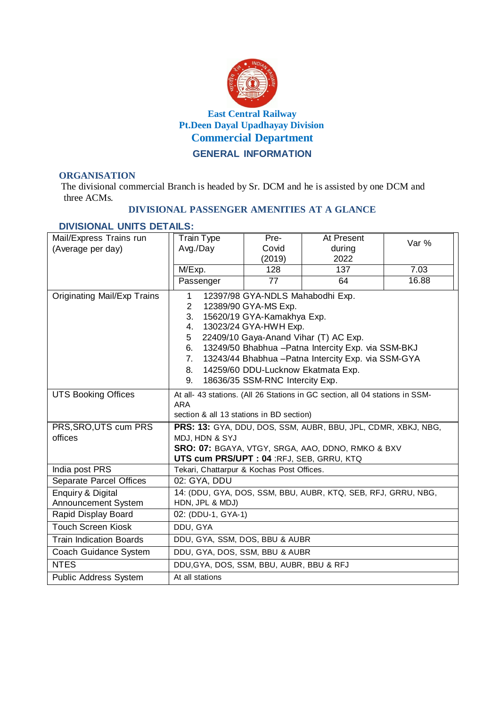

## **ORGANISATION**

The divisional commercial Branch is headed by Sr. DCM and he is assisted by one DCM and three ACMs.

## **DIVISIONAL PASSENGER AMENITIES AT A GLANCE**

## **DIVISIONAL UNITS DETAILS:**

| Mail/Express Trains run<br>(Average per day) | Train Type<br>Avg./Day                                                          | Pre-<br>Covid | At Present<br>during | Var % |  |  |  |  |
|----------------------------------------------|---------------------------------------------------------------------------------|---------------|----------------------|-------|--|--|--|--|
|                                              | M/Exp.                                                                          | (2019)<br>128 | 2022<br>137          | 7.03  |  |  |  |  |
|                                              | Passenger                                                                       | 77            | 64                   | 16.88 |  |  |  |  |
|                                              |                                                                                 |               |                      |       |  |  |  |  |
| Originating Mail/Exp Trains                  | 12397/98 GYA-NDLS Mahabodhi Exp.<br>1<br>$\overline{2}$<br>12389/90 GYA-MS Exp. |               |                      |       |  |  |  |  |
|                                              | 3.<br>15620/19 GYA-Kamakhya Exp.                                                |               |                      |       |  |  |  |  |
|                                              | 13023/24 GYA-HWH Exp.<br>4.                                                     |               |                      |       |  |  |  |  |
|                                              | 22409/10 Gaya-Anand Vihar (T) AC Exp.<br>5                                      |               |                      |       |  |  |  |  |
|                                              | 13249/50 Bhabhua - Patna Intercity Exp. via SSM-BKJ<br>6.                       |               |                      |       |  |  |  |  |
|                                              | 13243/44 Bhabhua - Patna Intercity Exp. via SSM-GYA<br>7.                       |               |                      |       |  |  |  |  |
|                                              | 14259/60 DDU-Lucknow Ekatmata Exp.<br>8.                                        |               |                      |       |  |  |  |  |
|                                              | 18636/35 SSM-RNC Intercity Exp.<br>9.                                           |               |                      |       |  |  |  |  |
| <b>UTS Booking Offices</b>                   | At all- 43 stations. (All 26 Stations in GC section, all 04 stations in SSM-    |               |                      |       |  |  |  |  |
|                                              | <b>ARA</b>                                                                      |               |                      |       |  |  |  |  |
| PRS, SRO, UTS cum PRS                        | section & all 13 stations in BD section)                                        |               |                      |       |  |  |  |  |
| offices                                      | PRS: 13: GYA, DDU, DOS, SSM, AUBR, BBU, JPL, CDMR, XBKJ, NBG,<br>MDJ, HDN & SYJ |               |                      |       |  |  |  |  |
|                                              | SRO: 07: BGAYA, VTGY, SRGA, AAO, DDNO, RMKO & BXV                               |               |                      |       |  |  |  |  |
|                                              | UTS cum PRS/UPT : 04 :RFJ, SEB, GRRU, KTQ                                       |               |                      |       |  |  |  |  |
| India post PRS                               | Tekari, Chattarpur & Kochas Post Offices.                                       |               |                      |       |  |  |  |  |
| Separate Parcel Offices                      | 02: GYA, DDU                                                                    |               |                      |       |  |  |  |  |
| <b>Enquiry &amp; Digital</b>                 | 14: (DDU, GYA, DOS, SSM, BBU, AUBR, KTQ, SEB, RFJ, GRRU, NBG,                   |               |                      |       |  |  |  |  |
| Announcement System                          | HDN, JPL & MDJ)                                                                 |               |                      |       |  |  |  |  |
| Rapid Display Board                          | 02: (DDU-1, GYA-1)                                                              |               |                      |       |  |  |  |  |
| <b>Touch Screen Kiosk</b>                    | DDU, GYA                                                                        |               |                      |       |  |  |  |  |
| <b>Train Indication Boards</b>               | DDU, GYA, SSM, DOS, BBU & AUBR                                                  |               |                      |       |  |  |  |  |
| Coach Guidance System                        | DDU, GYA, DOS, SSM, BBU & AUBR                                                  |               |                      |       |  |  |  |  |
| <b>NTES</b>                                  | DDU, GYA, DOS, SSM, BBU, AUBR, BBU & RFJ                                        |               |                      |       |  |  |  |  |
| <b>Public Address System</b>                 | At all stations                                                                 |               |                      |       |  |  |  |  |